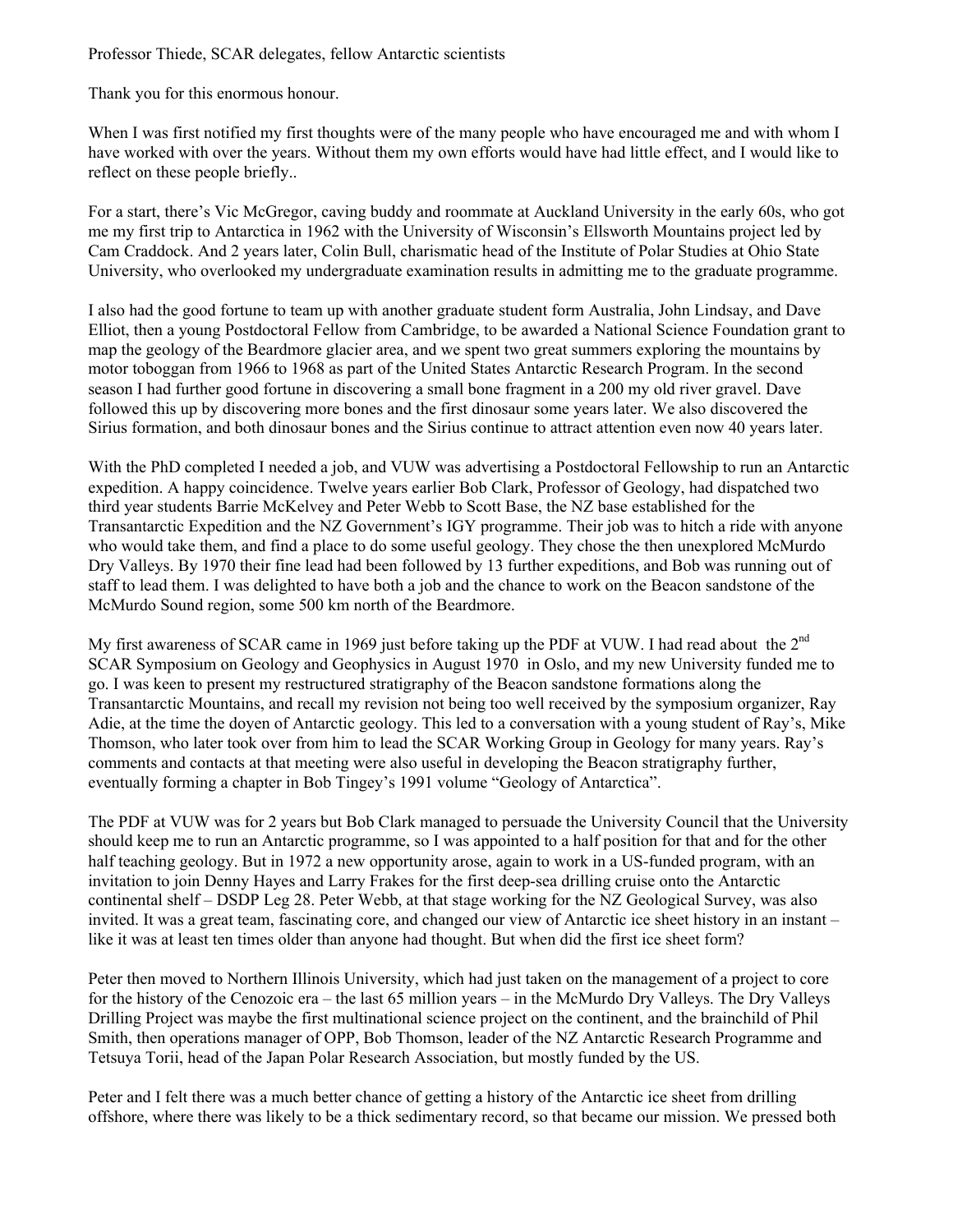Professor Thiede, SCAR delegates, fellow Antarctic scientists

Thank you for this enormous honour.

When I was first notified my first thoughts were of the many people who have encouraged me and with whom I have worked with over the years. Without them my own efforts would have had little effect, and I would like to reflect on these people briefly..

For a start, there's Vic McGregor, caving buddy and roommate at Auckland University in the early 60s, who got me my first trip to Antarctica in 1962 with the University of Wisconsin's Ellsworth Mountains project led by Cam Craddock. And 2 years later, Colin Bull, charismatic head of the Institute of Polar Studies at Ohio State University, who overlooked my undergraduate examination results in admitting me to the graduate programme.

I also had the good fortune to team up with another graduate student form Australia, John Lindsay, and Dave Elliot, then a young Postdoctoral Fellow from Cambridge, to be awarded a National Science Foundation grant to map the geology of the Beardmore glacier area, and we spent two great summers exploring the mountains by motor toboggan from 1966 to 1968 as part of the United States Antarctic Research Program. In the second season I had further good fortune in discovering a small bone fragment in a 200 my old river gravel. Dave followed this up by discovering more bones and the first dinosaur some years later. We also discovered the Sirius formation, and both dinosaur bones and the Sirius continue to attract attention even now 40 years later.

With the PhD completed I needed a job, and VUW was advertising a Postdoctoral Fellowship to run an Antarctic expedition. A happy coincidence. Twelve years earlier Bob Clark, Professor of Geology, had dispatched two third year students Barrie McKelvey and Peter Webb to Scott Base, the NZ base established for the Transantarctic Expedition and the NZ Government's IGY programme. Their job was to hitch a ride with anyone who would take them, and find a place to do some useful geology. They chose the then unexplored McMurdo Dry Valleys. By 1970 their fine lead had been followed by 13 further expeditions, and Bob was running out of staff to lead them. I was delighted to have both a job and the chance to work on the Beacon sandstone of the McMurdo Sound region, some 500 km north of the Beardmore.

My first awareness of SCAR came in 1969 just before taking up the PDF at VUW. I had read about the 2<sup>nd</sup> SCAR Symposium on Geology and Geophysics in August 1970 in Oslo, and my new University funded me to go. I was keen to present my restructured stratigraphy of the Beacon sandstone formations along the Transantarctic Mountains, and recall my revision not being too well received by the symposium organizer, Ray Adie, at the time the doyen of Antarctic geology. This led to a conversation with a young student of Ray's, Mike Thomson, who later took over from him to lead the SCAR Working Group in Geology for many years. Ray's comments and contacts at that meeting were also useful in developing the Beacon stratigraphy further, eventually forming a chapter in Bob Tingey's 1991 volume "Geology of Antarctica".

The PDF at VUW was for 2 years but Bob Clark managed to persuade the University Council that the University should keep me to run an Antarctic programme, so I was appointed to a half position for that and for the other half teaching geology. But in 1972 a new opportunity arose, again to work in a US-funded program, with an invitation to join Denny Hayes and Larry Frakes for the first deep-sea drilling cruise onto the Antarctic continental shelf – DSDP Leg 28. Peter Webb, at that stage working for the NZ Geological Survey, was also invited. It was a great team, fascinating core, and changed our view of Antarctic ice sheet history in an instant – like it was at least ten times older than anyone had thought. But when did the first ice sheet form?

Peter then moved to Northern Illinois University, which had just taken on the management of a project to core for the history of the Cenozoic era – the last 65 million years – in the McMurdo Dry Valleys. The Dry Valleys Drilling Project was maybe the first multinational science project on the continent, and the brainchild of Phil Smith, then operations manager of OPP, Bob Thomson, leader of the NZ Antarctic Research Programme and Tetsuya Torii, head of the Japan Polar Research Association, but mostly funded by the US.

Peter and I felt there was a much better chance of getting a history of the Antarctic ice sheet from drilling offshore, where there was likely to be a thick sedimentary record, so that became our mission. We pressed both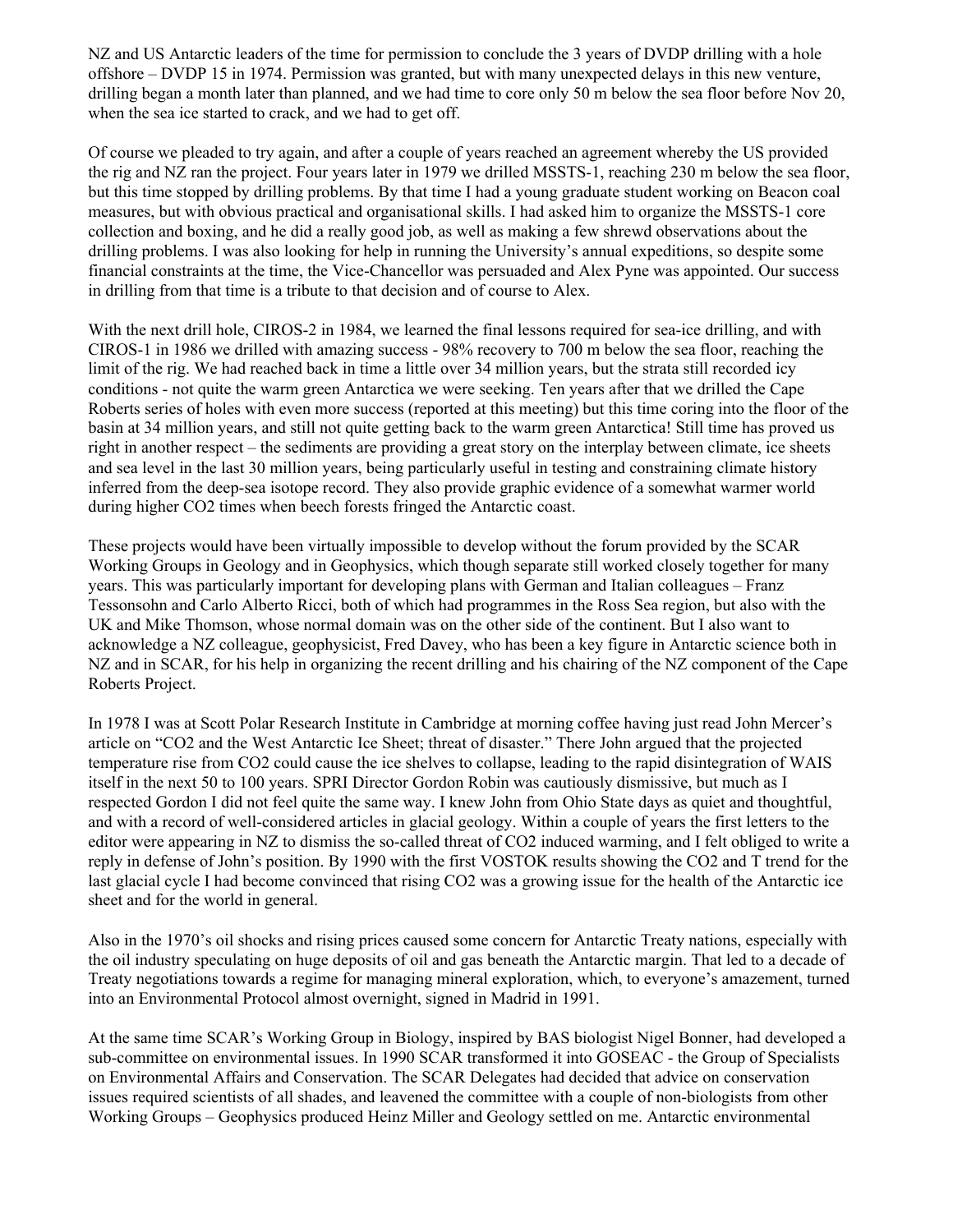NZ and US Antarctic leaders of the time for permission to conclude the 3 years of DVDP drilling with a hole offshore – DVDP 15 in 1974. Permission was granted, but with many unexpected delays in this new venture, drilling began a month later than planned, and we had time to core only 50 m below the sea floor before Nov 20, when the sea ice started to crack, and we had to get off.

Of course we pleaded to try again, and after a couple of years reached an agreement whereby the US provided the rig and NZ ran the project. Four years later in 1979 we drilled MSSTS-1, reaching 230 m below the sea floor, but this time stopped by drilling problems. By that time I had a young graduate student working on Beacon coal measures, but with obvious practical and organisational skills. I had asked him to organize the MSSTS-1 core collection and boxing, and he did a really good job, as well as making a few shrewd observations about the drilling problems. I was also looking for help in running the University's annual expeditions, so despite some financial constraints at the time, the Vice-Chancellor was persuaded and Alex Pyne was appointed. Our success in drilling from that time is a tribute to that decision and of course to Alex.

With the next drill hole, CIROS-2 in 1984, we learned the final lessons required for sea-ice drilling, and with CIROS-1 in 1986 we drilled with amazing success - 98% recovery to 700 m below the sea floor, reaching the limit of the rig. We had reached back in time a little over 34 million years, but the strata still recorded icy conditions - not quite the warm green Antarctica we were seeking. Ten years after that we drilled the Cape Roberts series of holes with even more success (reported at this meeting) but this time coring into the floor of the basin at 34 million years, and still not quite getting back to the warm green Antarctica! Still time has proved us right in another respect – the sediments are providing a great story on the interplay between climate, ice sheets and sea level in the last 30 million years, being particularly useful in testing and constraining climate history inferred from the deep-sea isotope record. They also provide graphic evidence of a somewhat warmer world during higher CO2 times when beech forests fringed the Antarctic coast.

These projects would have been virtually impossible to develop without the forum provided by the SCAR Working Groups in Geology and in Geophysics, which though separate still worked closely together for many years. This was particularly important for developing plans with German and Italian colleagues – Franz Tessonsohn and Carlo Alberto Ricci, both of which had programmes in the Ross Sea region, but also with the UK and Mike Thomson, whose normal domain was on the other side of the continent. But I also want to acknowledge a NZ colleague, geophysicist, Fred Davey, who has been a key figure in Antarctic science both in NZ and in SCAR, for his help in organizing the recent drilling and his chairing of the NZ component of the Cape Roberts Project.

In 1978 I was at Scott Polar Research Institute in Cambridge at morning coffee having just read John Mercer's article on "CO2 and the West Antarctic Ice Sheet; threat of disaster." There John argued that the projected temperature rise from CO2 could cause the ice shelves to collapse, leading to the rapid disintegration of WAIS itself in the next 50 to 100 years. SPRI Director Gordon Robin was cautiously dismissive, but much as I respected Gordon I did not feel quite the same way. I knew John from Ohio State days as quiet and thoughtful, and with a record of well-considered articles in glacial geology. Within a couple of years the first letters to the editor were appearing in NZ to dismiss the so-called threat of CO2 induced warming, and I felt obliged to write a reply in defense of John's position. By 1990 with the first VOSTOK results showing the CO2 and T trend for the last glacial cycle I had become convinced that rising CO2 was a growing issue for the health of the Antarctic ice sheet and for the world in general.

Also in the 1970's oil shocks and rising prices caused some concern for Antarctic Treaty nations, especially with the oil industry speculating on huge deposits of oil and gas beneath the Antarctic margin. That led to a decade of Treaty negotiations towards a regime for managing mineral exploration, which, to everyone's amazement, turned into an Environmental Protocol almost overnight, signed in Madrid in 1991.

At the same time SCAR's Working Group in Biology, inspired by BAS biologist Nigel Bonner, had developed a sub-committee on environmental issues. In 1990 SCAR transformed it into GOSEAC - the Group of Specialists on Environmental Affairs and Conservation. The SCAR Delegates had decided that advice on conservation issues required scientists of all shades, and leavened the committee with a couple of non-biologists from other Working Groups – Geophysics produced Heinz Miller and Geology settled on me. Antarctic environmental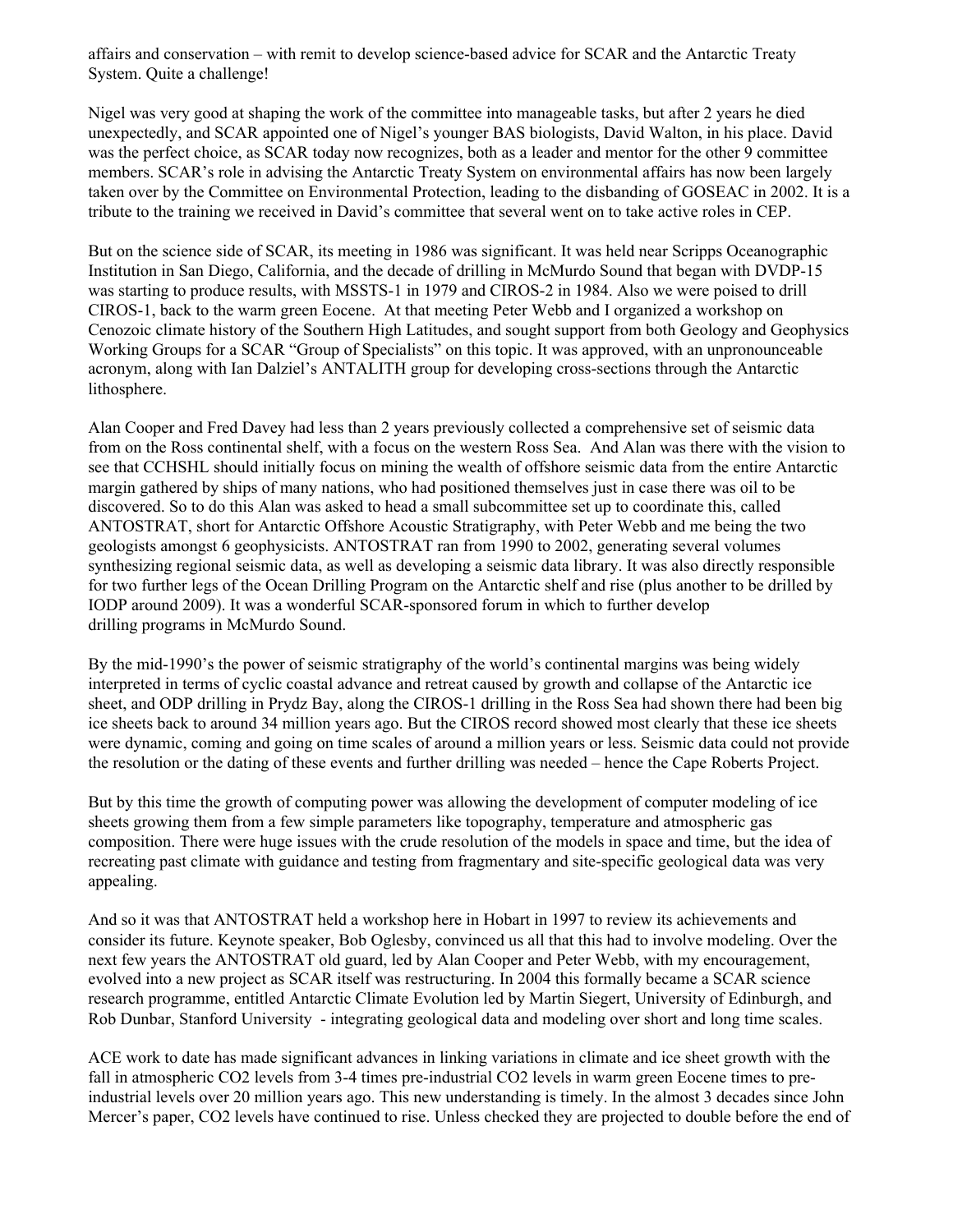affairs and conservation – with remit to develop science-based advice for SCAR and the Antarctic Treaty System. Quite a challenge!

Nigel was very good at shaping the work of the committee into manageable tasks, but after 2 years he died unexpectedly, and SCAR appointed one of Nigel's younger BAS biologists, David Walton, in his place. David was the perfect choice, as SCAR today now recognizes, both as a leader and mentor for the other 9 committee members. SCAR's role in advising the Antarctic Treaty System on environmental affairs has now been largely taken over by the Committee on Environmental Protection, leading to the disbanding of GOSEAC in 2002. It is a tribute to the training we received in David's committee that several went on to take active roles in CEP.

But on the science side of SCAR, its meeting in 1986 was significant. It was held near Scripps Oceanographic Institution in San Diego, California, and the decade of drilling in McMurdo Sound that began with DVDP-15 was starting to produce results, with MSSTS-1 in 1979 and CIROS-2 in 1984. Also we were poised to drill CIROS-1, back to the warm green Eocene. At that meeting Peter Webb and I organized a workshop on Cenozoic climate history of the Southern High Latitudes, and sought support from both Geology and Geophysics Working Groups for a SCAR "Group of Specialists" on this topic. It was approved, with an unpronounceable acronym, along with Ian Dalziel's ANTALITH group for developing cross-sections through the Antarctic lithosphere.

Alan Cooper and Fred Davey had less than 2 years previously collected a comprehensive set of seismic data from on the Ross continental shelf, with a focus on the western Ross Sea. And Alan was there with the vision to see that CCHSHL should initially focus on mining the wealth of offshore seismic data from the entire Antarctic margin gathered by ships of many nations, who had positioned themselves just in case there was oil to be discovered. So to do this Alan was asked to head a small subcommittee set up to coordinate this, called ANTOSTRAT, short for Antarctic Offshore Acoustic Stratigraphy, with Peter Webb and me being the two geologists amongst 6 geophysicists. ANTOSTRAT ran from 1990 to 2002, generating several volumes synthesizing regional seismic data, as well as developing a seismic data library. It was also directly responsible for two further legs of the Ocean Drilling Program on the Antarctic shelf and rise (plus another to be drilled by IODP around 2009). It was a wonderful SCAR-sponsored forum in which to further develop drilling programs in McMurdo Sound.

By the mid-1990's the power of seismic stratigraphy of the world's continental margins was being widely interpreted in terms of cyclic coastal advance and retreat caused by growth and collapse of the Antarctic ice sheet, and ODP drilling in Prydz Bay, along the CIROS-1 drilling in the Ross Sea had shown there had been big ice sheets back to around 34 million years ago. But the CIROS record showed most clearly that these ice sheets were dynamic, coming and going on time scales of around a million years or less. Seismic data could not provide the resolution or the dating of these events and further drilling was needed – hence the Cape Roberts Project.

But by this time the growth of computing power was allowing the development of computer modeling of ice sheets growing them from a few simple parameters like topography, temperature and atmospheric gas composition. There were huge issues with the crude resolution of the models in space and time, but the idea of recreating past climate with guidance and testing from fragmentary and site-specific geological data was very appealing.

And so it was that ANTOSTRAT held a workshop here in Hobart in 1997 to review its achievements and consider its future. Keynote speaker, Bob Oglesby, convinced us all that this had to involve modeling. Over the next few years the ANTOSTRAT old guard, led by Alan Cooper and Peter Webb, with my encouragement, evolved into a new project as SCAR itself was restructuring. In 2004 this formally became a SCAR science research programme, entitled Antarctic Climate Evolution led by Martin Siegert, University of Edinburgh, and Rob Dunbar, Stanford University - integrating geological data and modeling over short and long time scales.

ACE work to date has made significant advances in linking variations in climate and ice sheet growth with the fall in atmospheric CO2 levels from 3-4 times pre-industrial CO2 levels in warm green Eocene times to preindustrial levels over 20 million years ago. This new understanding is timely. In the almost 3 decades since John Mercer's paper, CO2 levels have continued to rise. Unless checked they are projected to double before the end of